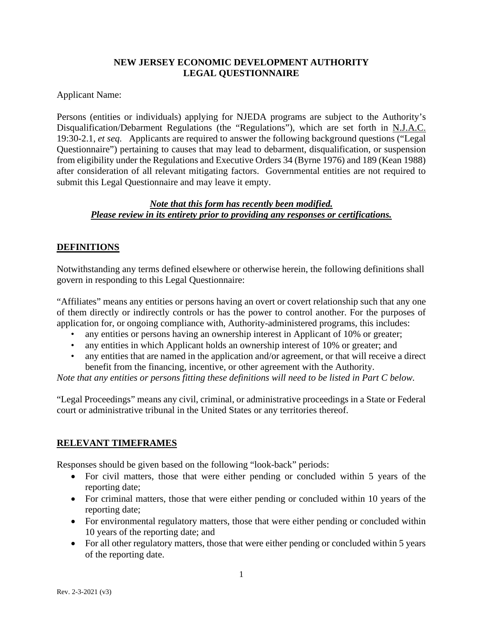#### **NEW JERSEY ECONOMIC DEVELOPMENT AUTHORITY LEGAL QUESTIONNAIRE**

Applicant Name:

Persons (entities or individuals) applying for NJEDA programs are subject to the Authority's Disqualification/Debarment Regulations (the "Regulations"), which are set forth in N.J.A.C. 19:30-2.1, *et seq.* Applicants are required to answer the following background questions ("Legal Questionnaire") pertaining to causes that may lead to debarment, disqualification, or suspension from eligibility under the Regulations and Executive Orders 34 (Byrne 1976) and 189 (Kean 1988) after consideration of all relevant mitigating factors. Governmental entities are not required to submit this Legal Questionnaire and may leave it empty.

#### *Note that this form has recently been modified. Please review in its entirety prior to providing any responses or certifications.*

# **DEFINITIONS**

Notwithstanding any terms defined elsewhere or otherwise herein, the following definitions shall govern in responding to this Legal Questionnaire:

"Affiliates" means any entities or persons having an overt or covert relationship such that any one of them directly or indirectly controls or has the power to control another. For the purposes of application for, or ongoing compliance with, Authority-administered programs, this includes:

- any entities or persons having an ownership interest in Applicant of 10% or greater;
- any entities in which Applicant holds an ownership interest of 10% or greater; and
- any entities that are named in the application and/or agreement, or that will receive a direct benefit from the financing, incentive, or other agreement with the Authority.

*Note that any entities or persons fitting these definitions will need to be listed in Part C below.*

"Legal Proceedings" means any civil, criminal, or administrative proceedings in a State or Federal court or administrative tribunal in the United States or any territories thereof.

# **RELEVANT TIMEFRAMES**

Responses should be given based on the following "look-back" periods:

- For civil matters, those that were either pending or concluded within 5 years of the reporting date;
- For criminal matters, those that were either pending or concluded within 10 years of the reporting date;
- For environmental regulatory matters, those that were either pending or concluded within 10 years of the reporting date; and
- For all other regulatory matters, those that were either pending or concluded within 5 years of the reporting date.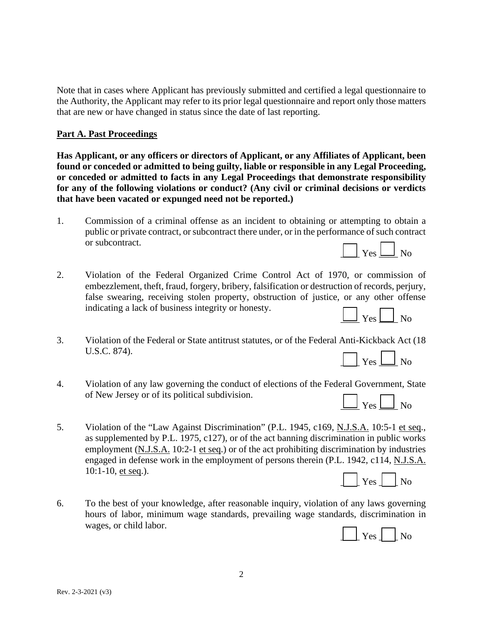Note that in cases where Applicant has previously submitted and certified a legal questionnaire to the Authority, the Applicant may refer to its prior legal questionnaire and report only those matters that are new or have changed in status since the date of last reporting.

### **Part A. Past Proceedings**

**Has Applicant, or any officers or directors of Applicant, or any Affiliates of Applicant, been found or conceded or admitted to being guilty, liable or responsible in any Legal Proceeding, or conceded or admitted to facts in any Legal Proceedings that demonstrate responsibility for any of the following violations or conduct? (Any civil or criminal decisions or verdicts that have been vacated or expunged need not be reported.)** 

- 1. Commission of a criminal offense as an incident to obtaining or attempting to obtain a public or private contract, or subcontract there under, or in the performance of such contract or subcontract.  $\vert$  Yes  $\vert$  No
- 2. Violation of the Federal Organized Crime Control Act of 1970, or commission of embezzlement, theft, fraud, forgery, bribery, falsification or destruction of records, perjury, false swearing, receiving stolen property, obstruction of justice, or any other offense indicating a lack of business integrity or honesty.



- 3. Violation of the Federal or State antitrust statutes, or of the Federal Anti-Kickback Act (18 U.S.C. 874).  $\lceil \cdot \rceil$  Yes  $\Box$  No
- 4. Violation of any law governing the conduct of elections of the Federal Government, State of New Jersey or of its political subdivision.

| of New Jersey or of its political subdivision.<br>$\Box$ Yes $\Box$ No |
|------------------------------------------------------------------------|
|------------------------------------------------------------------------|

5. Violation of the "Law Against Discrimination" (P.L. 1945, c169, N.J.S.A. 10:5-1 et seq., as supplemented by P.L. 1975, c127), or of the act banning discrimination in public works employment (N.J.S.A. 10:2-1 et seq.) or of the act prohibiting discrimination by industries engaged in defense work in the employment of persons therein (P.L. 1942, c114, N.J.S.A. 10:1-10, et seq.).



6. To the best of your knowledge, after reasonable inquiry, violation of any laws governing hours of labor, minimum wage standards, prevailing wage standards, discrimination in wages, or child labor.

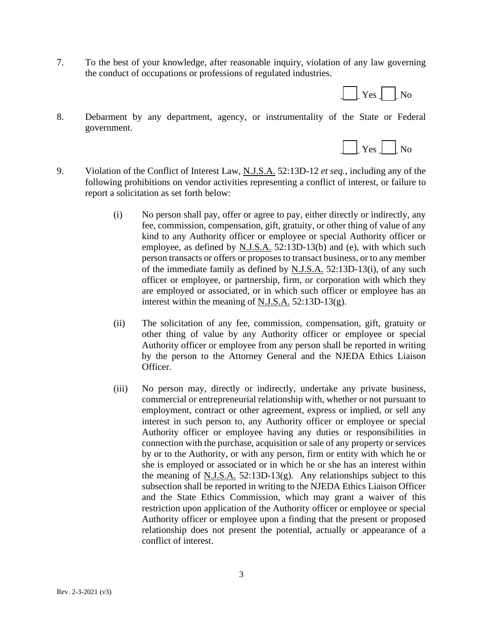7. To the best of your knowledge, after reasonable inquiry, violation of any law governing the conduct of occupations or professions of regulated industries.



8. Debarment by any department, agency, or instrumentality of the State or Federal government.



- 9. Violation of the Conflict of Interest Law, N.J.S.A. 52:13D-12 *et seq.*, including any of the following prohibitions on vendor activities representing a conflict of interest, or failure to report a solicitation as set forth below:
	- (i) No person shall pay, offer or agree to pay, either directly or indirectly, any fee, commission, compensation, gift, gratuity, or other thing of value of any kind to any Authority officer or employee or special Authority officer or employee, as defined by N.J.S.A. 52:13D-13(b) and (e), with which such person transacts or offers or proposes to transact business, or to any member of the immediate family as defined by N.J.S.A. 52:13D-13(i), of any such officer or employee, or partnership, firm, or corporation with which they are employed or associated, or in which such officer or employee has an interest within the meaning of N.J.S.A. 52:13D-13(g).
	- (ii) The solicitation of any fee, commission, compensation, gift, gratuity or other thing of value by any Authority officer or employee or special Authority officer or employee from any person shall be reported in writing by the person to the Attorney General and the NJEDA Ethics Liaison Officer.
	- (iii) No person may, directly or indirectly, undertake any private business, commercial or entrepreneurial relationship with, whether or not pursuant to employment, contract or other agreement, express or implied, or sell any interest in such person to, any Authority officer or employee or special Authority officer or employee having any duties or responsibilities in connection with the purchase, acquisition or sale of any property or services by or to the Authority, or with any person, firm or entity with which he or she is employed or associated or in which he or she has an interest within the meaning of  $N.J.S.A.$  52:13D-13(g). Any relationships subject to this subsection shall be reported in writing to the NJEDA Ethics Liaison Officer and the State Ethics Commission, which may grant a waiver of this restriction upon application of the Authority officer or employee or special Authority officer or employee upon a finding that the present or proposed relationship does not present the potential, actually or appearance of a conflict of interest.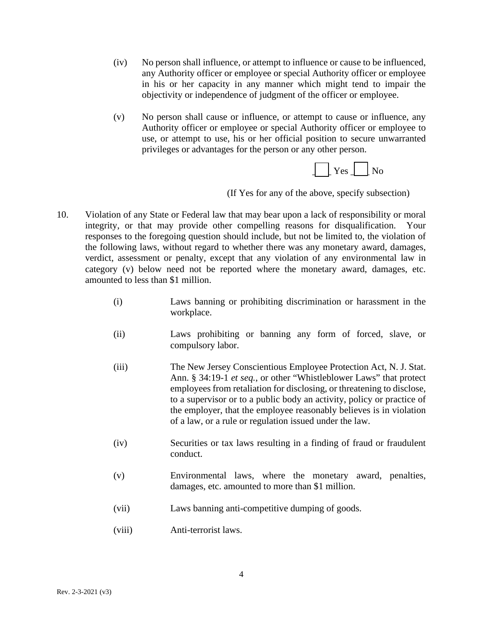- (iv) No person shall influence, or attempt to influence or cause to be influenced, any Authority officer or employee or special Authority officer or employee in his or her capacity in any manner which might tend to impair the objectivity or independence of judgment of the officer or employee.
- (v) No person shall cause or influence, or attempt to cause or influence, any Authority officer or employee or special Authority officer or employee to use, or attempt to use, his or her official position to secure unwarranted privileges or advantages for the person or any other person.



(If Yes for any of the above, specify subsection)

- 10. Violation of any State or Federal law that may bear upon a lack of responsibility or moral integrity, or that may provide other compelling reasons for disqualification. Your responses to the foregoing question should include, but not be limited to, the violation of the following laws, without regard to whether there was any monetary award, damages, verdict, assessment or penalty, except that any violation of any environmental law in category (v) below need not be reported where the monetary award, damages, etc. amounted to less than \$1 million.
	- (i) Laws banning or prohibiting discrimination or harassment in the workplace.
	- (ii) Laws prohibiting or banning any form of forced, slave, or compulsory labor.
	- (iii) The New Jersey Conscientious Employee Protection Act, N. J. Stat. Ann. § 34:19-1 *et seq.*, or other "Whistleblower Laws" that protect employees from retaliation for disclosing, or threatening to disclose, to a supervisor or to a public body an activity, policy or practice of the employer, that the employee reasonably believes is in violation of a law, or a rule or regulation issued under the law.
	- (iv) Securities or tax laws resulting in a finding of fraud or fraudulent conduct.
	- (v) Environmental laws, where the monetary award, penalties, damages, etc. amounted to more than \$1 million.
	- (vii) Laws banning anti-competitive dumping of goods.
	- (viii) Anti-terrorist laws.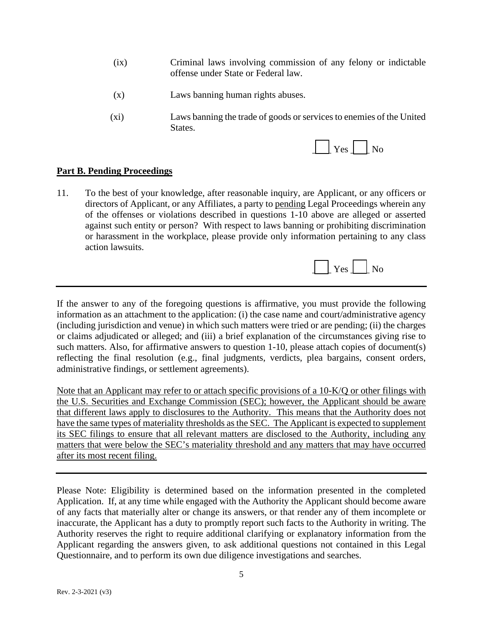- (ix) Criminal laws involving commission of any felony or indictable offense under State or Federal law.
- (x) Laws banning human rights abuses.
- (xi) Laws banning the trade of goods or services to enemies of the United States.



# **Part B. Pending Proceedings**

11. To the best of your knowledge, after reasonable inquiry, are Applicant, or any officers or directors of Applicant, or any Affiliates, a party to pending Legal Proceedings wherein any of the offenses or violations described in questions 1-10 above are alleged or asserted against such entity or person? With respect to laws banning or prohibiting discrimination or harassment in the workplace, please provide only information pertaining to any class action lawsuits.



If the answer to any of the foregoing questions is affirmative, you must provide the following information as an attachment to the application: (i) the case name and court/administrative agency (including jurisdiction and venue) in which such matters were tried or are pending; (ii) the charges or claims adjudicated or alleged; and (iii) a brief explanation of the circumstances giving rise to such matters. Also, for affirmative answers to question 1-10, please attach copies of document(s) reflecting the final resolution (e.g., final judgments, verdicts, plea bargains, consent orders, administrative findings, or settlement agreements).

Note that an Applicant may refer to or attach specific provisions of a 10-K/Q or other filings with the U.S. Securities and Exchange Commission (SEC); however, the Applicant should be aware that different laws apply to disclosures to the Authority. This means that the Authority does not have the same types of materiality thresholds as the SEC. The Applicant is expected to supplement its SEC filings to ensure that all relevant matters are disclosed to the Authority, including any matters that were below the SEC's materiality threshold and any matters that may have occurred after its most recent filing.

Please Note: Eligibility is determined based on the information presented in the completed Application. If, at any time while engaged with the Authority the Applicant should become aware of any facts that materially alter or change its answers, or that render any of them incomplete or inaccurate, the Applicant has a duty to promptly report such facts to the Authority in writing. The Authority reserves the right to require additional clarifying or explanatory information from the Applicant regarding the answers given, to ask additional questions not contained in this Legal Questionnaire, and to perform its own due diligence investigations and searches.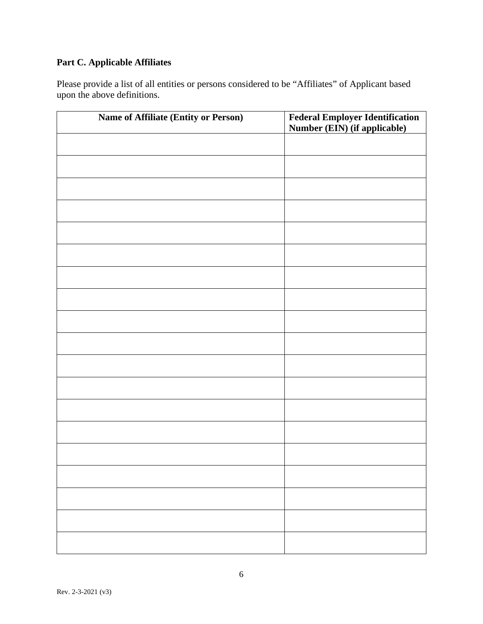# **Part C. Applicable Affiliates**

Please provide a list of all entities or persons considered to be "Affiliates" of Applicant based upon the above definitions.

| Name of Affiliate (Entity or Person) | <b>Federal Employer Identification</b><br>Number (EIN) (if applicable) |
|--------------------------------------|------------------------------------------------------------------------|
|                                      |                                                                        |
|                                      |                                                                        |
|                                      |                                                                        |
|                                      |                                                                        |
|                                      |                                                                        |
|                                      |                                                                        |
|                                      |                                                                        |
|                                      |                                                                        |
|                                      |                                                                        |
|                                      |                                                                        |
|                                      |                                                                        |
|                                      |                                                                        |
|                                      |                                                                        |
|                                      |                                                                        |
|                                      |                                                                        |
|                                      |                                                                        |
|                                      |                                                                        |
|                                      |                                                                        |
|                                      |                                                                        |